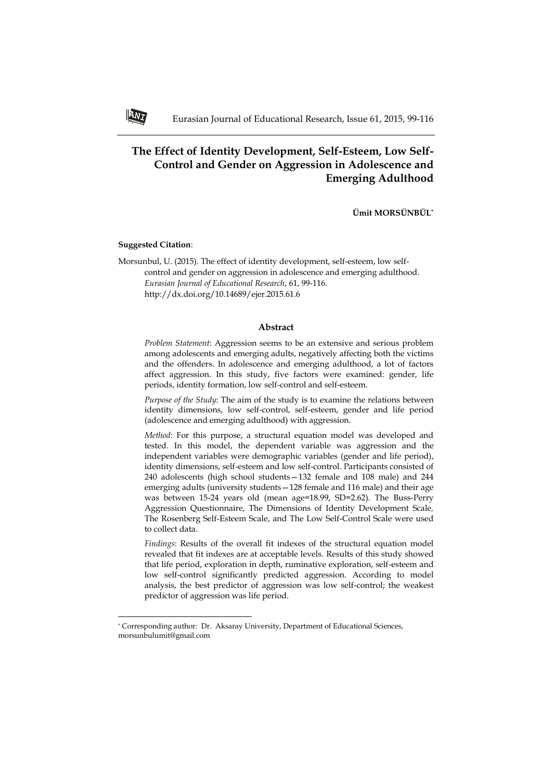# **The Effect of Identity Development, Self-Esteem, Low Self-Control and Gender on Aggression in Adolescence and Emerging Adulthood**

**Ümit MORSÜNBÜL\***

## **Suggested Citation**:

**.** 

Morsunbul, U. (2015). The effect of identity development, self-esteem, low selfcontrol and gender on aggression in adolescence and emerging adulthood. *Eurasian Journal of Educational Research*, 61, 99-116. http://dx.doi.org/10.14689/ejer.2015.61.6

### **Abstract**

*Problem Statement*: Aggression seems to be an extensive and serious problem among adolescents and emerging adults, negatively affecting both the victims and the offenders. In adolescence and emerging adulthood, a lot of factors affect aggression. In this study, five factors were examined: gender, life periods, identity formation, low self-control and self-esteem.

*Purpose of the Study*: The aim of the study is to examine the relations between identity dimensions, low self-control, self-esteem, gender and life period (adolescence and emerging adulthood) with aggression.

*Method*: For this purpose, a structural equation model was developed and tested. In this model, the dependent variable was aggression and the independent variables were demographic variables (gender and life period), identity dimensions, self-esteem and low self-control. Participants consisted of 240 adolescents (high school students—132 female and 108 male) and 244 emerging adults (university students—128 female and 116 male) and their age was between 15-24 years old (mean age=18.99, SD=2.62). The Buss-Perry Aggression Questionnaire, The Dimensions of Identity Development Scale*,* The Rosenberg Self-Esteem Scale, and The Low Self-Control Scale were used to collect data.

*Findings*: Results of the overall fit indexes of the structural equation model revealed that fit indexes are at acceptable levels. Results of this study showed that life period, exploration in depth, ruminative exploration, self-esteem and low self-control significantly predicted aggression. According to model analysis, the best predictor of aggression was low self-control; the weakest predictor of aggression was life period.



<sup>\*</sup> Corresponding author: Dr. Aksaray University, Department of Educational Sciences, morsunbulumit@gmail.com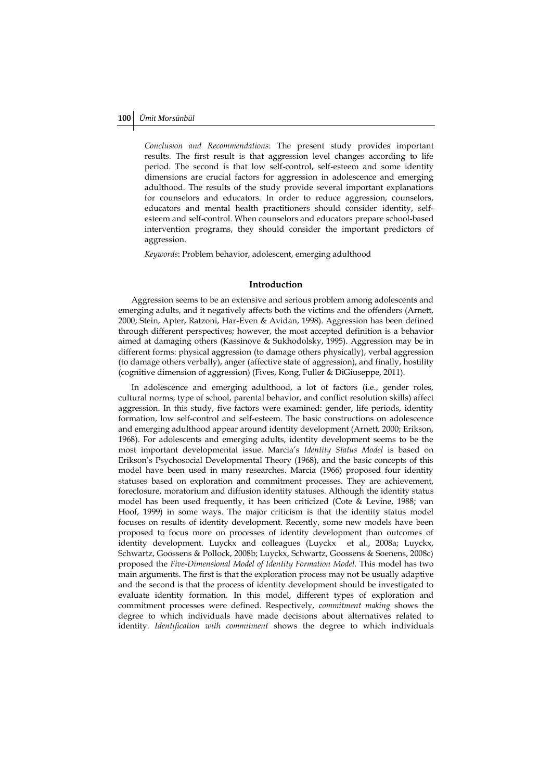*Conclusion and Recommendations*: The present study provides important results. The first result is that aggression level changes according to life period. The second is that low self-control, self-esteem and some identity dimensions are crucial factors for aggression in adolescence and emerging adulthood. The results of the study provide several important explanations for counselors and educators. In order to reduce aggression, counselors, educators and mental health practitioners should consider identity, selfesteem and self-control. When counselors and educators prepare school-based intervention programs, they should consider the important predictors of aggression.

*Keywords*: Problem behavior, adolescent, emerging adulthood

### **Introduction**

Aggression seems to be an extensive and serious problem among adolescents and emerging adults, and it negatively affects both the victims and the offenders (Arnett, 2000; Stein, Apter, Ratzoni, Har-Even & Avidan, 1998). Aggression has been defined through different perspectives; however, the most accepted definition is a behavior aimed at damaging others (Kassinove & Sukhodolsky, 1995). Aggression may be in different forms: physical aggression (to damage others physically), verbal aggression (to damage others verbally), anger (affective state of aggression), and finally, hostility (cognitive dimension of aggression) (Fives, Kong, Fuller & DiGiuseppe, 2011).

In adolescence and emerging adulthood, a lot of factors (i.e., gender roles, cultural norms, type of school, parental behavior, and conflict resolution skills) affect aggression. In this study, five factors were examined: gender, life periods, identity formation, low self-control and self-esteem. The basic constructions on adolescence and emerging adulthood appear around identity development (Arnett, 2000; Erikson, 1968). For adolescents and emerging adults, identity development seems to be the most important developmental issue. Marcia's *Identity Status Model* is based on Erikson's Psychosocial Developmental Theory (1968), and the basic concepts of this model have been used in many researches. Marcia (1966) proposed four identity statuses based on exploration and commitment processes. They are achievement, foreclosure, moratorium and diffusion identity statuses. Although the identity status model has been used frequently, it has been criticized (Cote & Levine, 1988; van Hoof, 1999) in some ways. The major criticism is that the identity status model focuses on results of identity development. Recently, some new models have been proposed to focus more on processes of identity development than outcomes of identity development. Luyckx and colleagues (Luyckx et al., 2008a; Luyckx, Schwartz, Goossens & Pollock, 2008b; Luyckx, Schwartz, Goossens & Soenens, 2008c) proposed the *Five-Dimensional Model of Identity Formation Model.* This model has two main arguments. The first is that the exploration process may not be usually adaptive and the second is that the process of identity development should be investigated to evaluate identity formation. In this model, different types of exploration and commitment processes were defined. Respectively, c*ommitment making* shows the degree to which individuals have made decisions about alternatives related to identity. *Identification with commitment* shows the degree to which individuals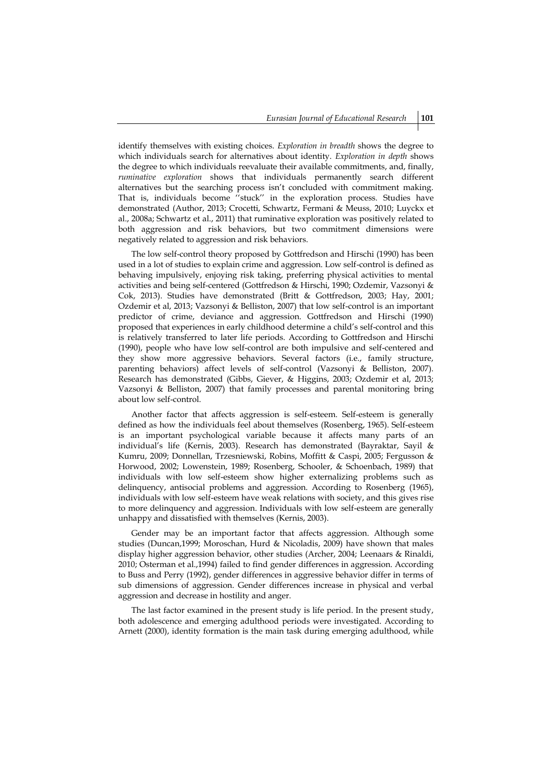identify themselves with existing choices. *Exploration in breadth* shows the degree to which individuals search for alternatives about identity. *Exploration in depth* shows the degree to which individuals reevaluate their available commitments, and, finally, *ruminative exploration* shows that individuals permanently search different alternatives but the searching process isn't concluded with commitment making. That is, individuals become ''stuck'' in the exploration process. Studies have demonstrated (Author, 2013; Crocetti, Schwartz, Fermani & Meuss, 2010; Luyckx et al., 2008a; Schwartz et al., 2011) that ruminative exploration was positively related to both aggression and risk behaviors, but two commitment dimensions were negatively related to aggression and risk behaviors.

The low self-control theory proposed by Gottfredson and Hirschi (1990) has been used in a lot of studies to explain crime and aggression. Low self-control is defined as behaving impulsively, enjoying risk taking, preferring physical activities to mental activities and being self-centered (Gottfredson & Hirschi, 1990; Ozdemir, Vazsonyi & Cok, 2013). Studies have demonstrated (Britt & Gottfredson, 2003; Hay, 2001; Ozdemir et al, 2013; Vazsonyi & Belliston, 2007) that low self-control is an important predictor of crime, deviance and aggression. Gottfredson and Hirschi (1990) proposed that experiences in early childhood determine a child's self-control and this is relatively transferred to later life periods. According to Gottfredson and Hirschi (1990), people who have low self-control are both impulsive and self-centered and they show more aggressive behaviors. Several factors (i.e., family structure, parenting behaviors) affect levels of self-control (Vazsonyi & Belliston, 2007). Research has demonstrated (Gibbs, Giever, & Higgins, 2003; Ozdemir et al, 2013; Vazsonyi & Belliston, 2007) that family processes and parental monitoring bring about low self-control.

Another factor that affects aggression is self-esteem. Self-esteem is generally defined as how the individuals feel about themselves (Rosenberg, 1965). Self-esteem is an important psychological variable because it affects many parts of an individual's life (Kernis, 2003). Research has demonstrated (Bayraktar, Sayil & Kumru, 2009; Donnellan, Trzesniewski, Robins, Moffitt & Caspi, 2005; Fergusson & Horwood, 2002; Lowenstein, 1989; Rosenberg, Schooler, & Schoenbach, 1989) that individuals with low self-esteem show higher externalizing problems such as delinquency, antisocial problems and aggression. According to Rosenberg (1965), individuals with low self-esteem have weak relations with society, and this gives rise to more delinquency and aggression. Individuals with low self-esteem are generally unhappy and dissatisfied with themselves (Kernis, 2003).

Gender may be an important factor that affects aggression. Although some studies (Duncan,1999; Moroschan, Hurd & Nicoladis, 2009) have shown that males display higher aggression behavior, other studies (Archer, 2004; Leenaars & Rinaldi, 2010; Osterman et al.,1994) failed to find gender differences in aggression. According to Buss and Perry (1992), gender differences in aggressive behavior differ in terms of sub dimensions of aggression. Gender differences increase in physical and verbal aggression and decrease in hostility and anger.

The last factor examined in the present study is life period. In the present study, both adolescence and emerging adulthood periods were investigated. According to Arnett (2000), identity formation is the main task during emerging adulthood, while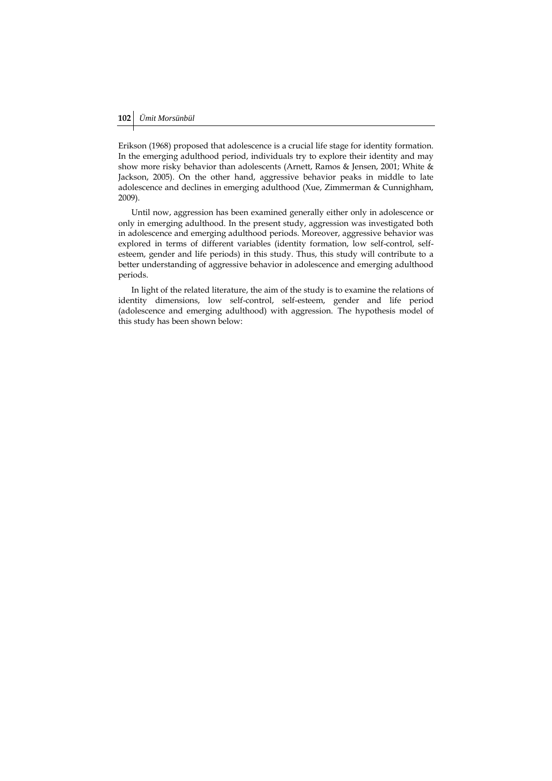Erikson (1968) proposed that adolescence is a crucial life stage for identity formation. In the emerging adulthood period, individuals try to explore their identity and may show more risky behavior than adolescents (Arnett, Ramos & Jensen, 2001; White & Jackson, 2005). On the other hand, aggressive behavior peaks in middle to late adolescence and declines in emerging adulthood (Xue, Zimmerman & Cunnighham, 2009).

Until now, aggression has been examined generally either only in adolescence or only in emerging adulthood. In the present study, aggression was investigated both in adolescence and emerging adulthood periods. Moreover, aggressive behavior was explored in terms of different variables (identity formation, low self-control, selfesteem, gender and life periods) in this study. Thus, this study will contribute to a better understanding of aggressive behavior in adolescence and emerging adulthood periods.

In light of the related literature, the aim of the study is to examine the relations of identity dimensions, low self-control, self-esteem, gender and life period (adolescence and emerging adulthood) with aggression. The hypothesis model of this study has been shown below: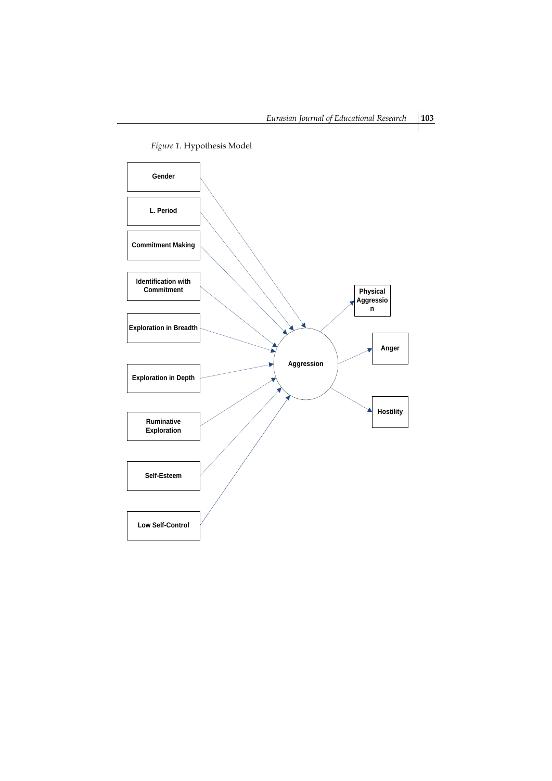

*Figure 1.* Hypothesis Model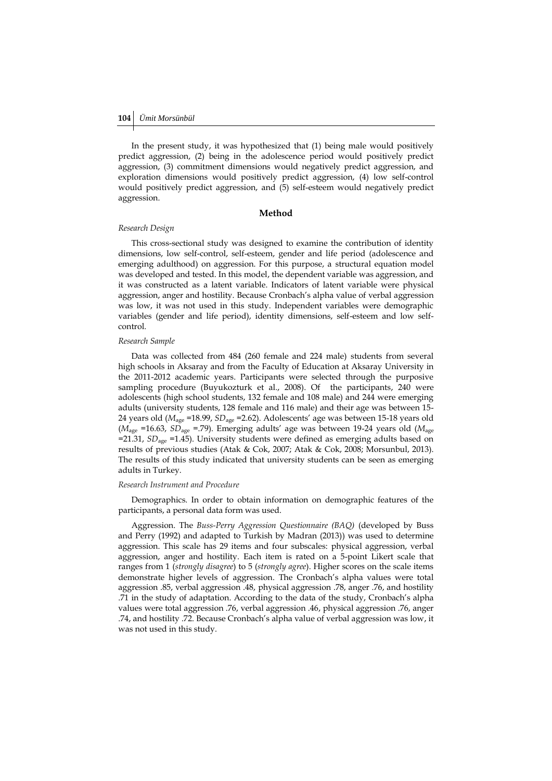In the present study, it was hypothesized that (1) being male would positively predict aggression, (2) being in the adolescence period would positively predict aggression, (3) commitment dimensions would negatively predict aggression, and exploration dimensions would positively predict aggression, (4) low self-control would positively predict aggression, and (5) self-esteem would negatively predict aggression.

### **Method**

#### *Research Design*

This cross-sectional study was designed to examine the contribution of identity dimensions, low self-control, self-esteem, gender and life period (adolescence and emerging adulthood) on aggression. For this purpose, a structural equation model was developed and tested. In this model, the dependent variable was aggression, and it was constructed as a latent variable. Indicators of latent variable were physical aggression, anger and hostility. Because Cronbach's alpha value of verbal aggression was low, it was not used in this study. Independent variables were demographic variables (gender and life period), identity dimensions, self-esteem and low selfcontrol.

### *Research Sample*

Data was collected from 484 (260 female and 224 male) students from several high schools in Aksaray and from the Faculty of Education at Aksaray University in the 2011-2012 academic years. Participants were selected through the purposive sampling procedure (Buyukozturk et al., 2008). Of the participants, 240 were adolescents (high school students, 132 female and 108 male) and 244 were emerging adults (university students, 128 female and 116 male) and their age was between 15- 24 years old (*M*age =18.99, *SD*age =2.62). Adolescents' age was between 15-18 years old ( $M_{\text{age}}$  =16.63, *SD*<sub>age</sub> =.79). Emerging adults' age was between 19-24 years old ( $M_{\text{age}}$ =21.31, *SD*age =1.45). University students were defined as emerging adults based on results of previous studies (Atak & Cok, 2007; Atak & Cok, 2008; Morsunbul, 2013). The results of this study indicated that university students can be seen as emerging adults in Turkey.

# *Research Instrument and Procedure*

Demographics. In order to obtain information on demographic features of the participants, a personal data form was used.

Aggression. The *Buss-Perry Aggression Questionnaire (BAQ)* (developed by Buss and Perry (1992) and adapted to Turkish by Madran (2013)) was used to determine aggression. This scale has 29 items and four subscales: physical aggression, verbal aggression, anger and hostility. Each item is rated on a 5-point Likert scale that ranges from 1 (*strongly disagree*) to 5 (*strongly agree*). Higher scores on the scale items demonstrate higher levels of aggression. The Cronbach's alpha values were total aggression .85, verbal aggression .48, physical aggression .78, anger .76, and hostility .71 in the study of adaptation. According to the data of the study, Cronbach's alpha values were total aggression .76, verbal aggression .46, physical aggression .76, anger .74, and hostility .72. Because Cronbach's alpha value of verbal aggression was low, it was not used in this study.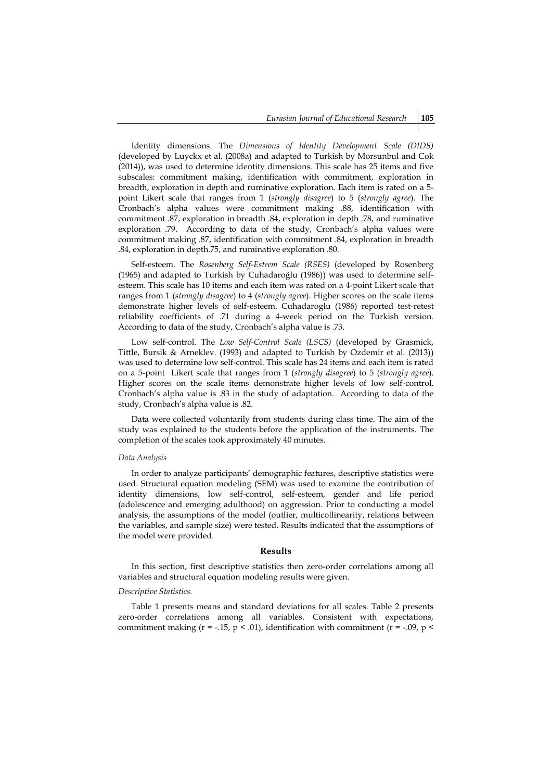Identity dimensions. The *Dimensions of Identity Development Scale (DIDS)*  (developed by Luyckx et al. (2008a) and adapted to Turkish by Morsunbul and Cok (2014)), was used to determine identity dimensions. This scale has 25 items and five subscales: commitment making, identification with commitment, exploration in breadth, exploration in depth and ruminative exploration. Each item is rated on a 5 point Likert scale that ranges from 1 (*strongly disagree*) to 5 (*strongly agree*). The Cronbach's alpha values were commitment making .88, identification with commitment .87, exploration in breadth .84, exploration in depth .78, and ruminative exploration .79. According to data of the study, Cronbach's alpha values were commitment making .87, identification with commitment .84, exploration in breadth .84, exploration in depth.75, and ruminative exploration .80.

Self-esteem. The *Rosenberg Self-Esteem Scale (RSES)* (developed by Rosenberg (1965) and adapted to Turkish by Cuhadaroğlu (1986)) was used to determine selfesteem. This scale has 10 items and each item was rated on a 4-point Likert scale that ranges from 1 (*strongly disagree*) to 4 (*strongly agree*). Higher scores on the scale items demonstrate higher levels of self-esteem. Cuhadaroglu (1986) reported test-retest reliability coefficients of .71 during a 4-week period on the Turkish version. According to data of the study, Cronbach's alpha value is .73.

Low self-control. The *Low Self-Control Scale (LSCS)* (developed by Grasmick, Tittle, Bursik & Arneklev. (1993) and adapted to Turkish by Ozdemir et al. (2013)) was used to determine low self-control. This scale has 24 items and each item is rated on a 5-point Likert scale that ranges from 1 (*strongly disagree*) to 5 (*strongly agree*). Higher scores on the scale items demonstrate higher levels of low self-control. Cronbach's alpha value is .83 in the study of adaptation. According to data of the study, Cronbach's alpha value is .82.

Data were collected voluntarily from students during class time. The aim of the study was explained to the students before the application of the instruments. The completion of the scales took approximately 40 minutes.

#### *Data Analysis*

In order to analyze participants' demographic features, descriptive statistics were used. Structural equation modeling (SEM) was used to examine the contribution of identity dimensions, low self-control, self-esteem, gender and life period (adolescence and emerging adulthood) on aggression. Prior to conducting a model analysis, the assumptions of the model (outlier, multicollinearity, relations between the variables, and sample size) were tested. Results indicated that the assumptions of the model were provided.

#### **Results**

In this section, first descriptive statistics then zero-order correlations among all variables and structural equation modeling results were given.

# *Descriptive Statistics.*

Table 1 presents means and standard deviations for all scales. Table 2 presents zero-order correlations among all variables. Consistent with expectations, commitment making ( $r = -0.15$ ,  $p < 0.01$ ), identification with commitment ( $r = -0.09$ ,  $p <$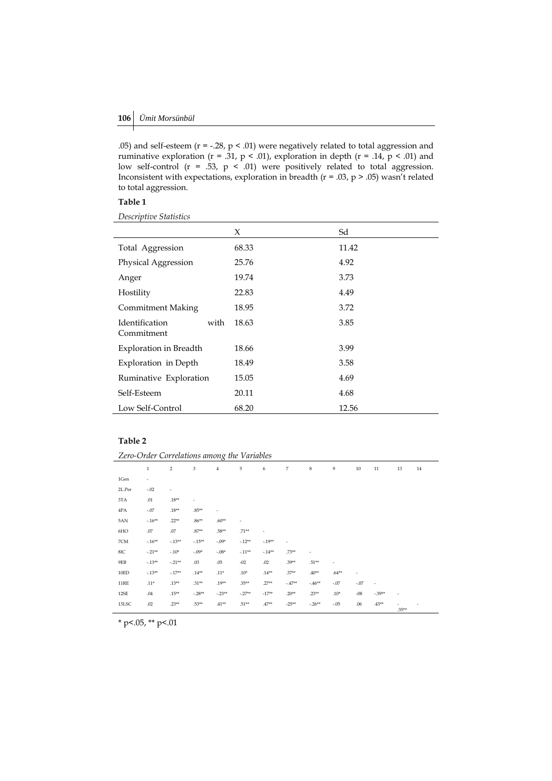.05) and self-esteem (r = -.28, p < .01) were negatively related to total aggression and ruminative exploration ( $r = .31$ ,  $p < .01$ ), exploration in depth ( $r = .14$ ,  $p < .01$ ) and low self-control ( $r = .53$ ,  $p < .01$ ) were positively related to total aggression. Inconsistent with expectations, exploration in breadth ( $r = .03$ ,  $p > .05$ ) wasn't related to total aggression.

# **Table 1**

*Descriptive Statistics*

|                                      | X     | Sd    |
|--------------------------------------|-------|-------|
| Total Aggression                     | 68.33 | 11.42 |
| Physical Aggression                  | 25.76 | 4.92  |
| Anger                                | 19.74 | 3.73  |
| Hostility                            | 22.83 | 4.49  |
| <b>Commitment Making</b>             | 18.95 | 3.72  |
| Identification<br>with<br>Commitment | 18.63 | 3.85  |
| Exploration in Breadth               | 18.66 | 3.99  |
| Exploration in Depth                 | 18.49 | 3.58  |
| Ruminative Exploration               | 15.05 | 4.69  |
| Self-Esteem                          | 20.11 | 4.68  |
| Low Self-Control                     | 68.20 | 12.56 |

# **Table 2**

| Zero-Order Correlations among the Variables |          |                |                              |          |          |                          |          |          |                          |        |                          |          |    |
|---------------------------------------------|----------|----------------|------------------------------|----------|----------|--------------------------|----------|----------|--------------------------|--------|--------------------------|----------|----|
|                                             | $\,1$    | $\overline{2}$ | 3                            | 4        | 5        | 6                        | 7        | 8        | 9                        | 10     | 11                       | 13       | 14 |
| 1Gen                                        | ٠        |                |                              |          |          |                          |          |          |                          |        |                          |          |    |
| 2L.Per                                      | $-.02$   | ٠              |                              |          |          |                          |          |          |                          |        |                          |          |    |
| 3TA                                         | .01      | $.18**$        | $\qquad \qquad \blacksquare$ |          |          |                          |          |          |                          |        |                          |          |    |
| 4PA                                         | $-.07$   | $.18**$        | $.85**$                      | ٠        |          |                          |          |          |                          |        |                          |          |    |
| 5AN                                         | $-.16**$ | $.22**$        | $.86**$                      | $.60**$  | ٠        |                          |          |          |                          |        |                          |          |    |
| 6HO                                         | .07      | .07            | $.87**$                      | $.58**$  | $.71**$  | $\overline{\phantom{a}}$ |          |          |                          |        |                          |          |    |
| 7CM                                         | $-.16**$ | $-.13**$       | $-.15**$                     | $-.09*$  | $-.12**$ | $-.19**$                 | ٠        |          |                          |        |                          |          |    |
| $8\mathrm{IC}$                              | $-.21**$ | $-.10*$        | $-.09*$                      | $-.08*$  | $-.11**$ | $-.14**$                 | $.73**$  |          |                          |        |                          |          |    |
| 9EB                                         | $-.13**$ | $-.21**$       | .03                          | .05      | $-02$    | .02                      | $.39**$  | $.51**$  | $\overline{\phantom{a}}$ |        |                          |          |    |
| 10ED                                        | $-.13**$ | $-.17**$       | $.14**$                      | $.11*$   | $.10*$   | $.14**$                  | $.37**$  | $.40**$  | $.64**$                  | ٠      |                          |          |    |
| 11RE                                        | $.11*$   | $.13**$        | $.31**$                      | $.19**$  | $.35***$ | $.27**$                  | $-.47**$ | $-.46**$ | $-.07$                   | $-.07$ | $\overline{\phantom{a}}$ |          |    |
| 12SE                                        | .04      | $.15**$        | $-.28**$                     | $-.23**$ | $-.27**$ | $-17**$                  | $.20**$  | $.23***$ | $.10*$                   | $-08$  | $-.39**$                 | ٠        |    |
| 13LSC                                       | .02      | $.23**$        | $.53**$                      | $.41**$  | $.51**$  | $.47**$                  | $-25**$  | $-.26**$ | $-.05$                   | .06    | $.43***$                 | $.35***$ |    |

 $*$  p<.05,  $*$  p<.01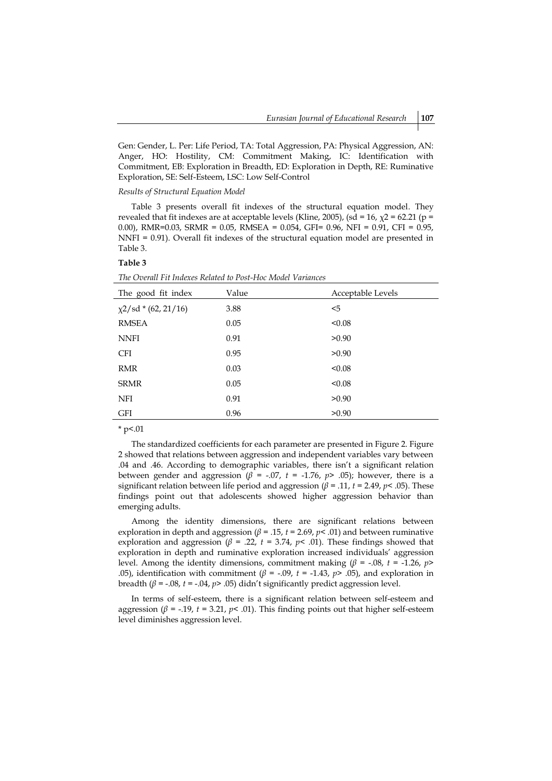Gen: Gender, L. Per: Life Period, TA: Total Aggression, PA: Physical Aggression, AN: Anger, HO: Hostility, CM: Commitment Making, IC: Identification with Commitment, EB: Exploration in Breadth, ED: Exploration in Depth, RE: Ruminative Exploration, SE: Self-Esteem, LSC: Low Self-Control

#### *Results of Structural Equation Model*

Table 3 presents overall fit indexes of the structural equation model. They revealed that fit indexes are at acceptable levels (Kline, 2005), (sd = 16,  $\chi$ 2 = 62.21 (p = 0.00), RMR=0.03, SRMR = 0.05, RMSEA = 0.054, GFI= 0.96, NFI = 0.91, CFI = 0.95, NNFI = 0.91). Overall fit indexes of the structural equation model are presented in Table 3.

### **Table 3**

*The Overall Fit Indexes Related to Post-Hoc Model Variances*

| The good fit index        | Value | Acceptable Levels |
|---------------------------|-------|-------------------|
| $\chi$ 2/sd * (62, 21/16) | 3.88  | $5$               |
| <b>RMSEA</b>              | 0.05  | < 0.08            |
| <b>NNFI</b>               | 0.91  | >0.90             |
| <b>CFI</b>                | 0.95  | >0.90             |
| <b>RMR</b>                | 0.03  | < 0.08            |
| <b>SRMR</b>               | 0.05  | < 0.08            |
| <b>NFI</b>                | 0.91  | >0.90             |
| <b>GFI</b>                | 0.96  | >0.90             |
|                           |       |                   |

 $*$  p<.01

The standardized coefficients for each parameter are presented in Figure 2. Figure 2 showed that relations between aggression and independent variables vary between .04 and .46. According to demographic variables, there isn't a significant relation between gender and aggression ( $\beta$  = -.07,  $t$  = -1.76,  $p$ > .05); however, there is a significant relation between life period and aggression (*β* = .11, *t* = 2.49, *p*< .05). These findings point out that adolescents showed higher aggression behavior than emerging adults.

Among the identity dimensions, there are significant relations between exploration in depth and aggression (*β* = .15, *t* = 2.69, *p*< .01) and between ruminative exploration and aggression ( $β = .22$ ,  $t = 3.74$ ,  $p < .01$ ). These findings showed that exploration in depth and ruminative exploration increased individuals' aggression level. Among the identity dimensions, commitment making  $(β = -0.08, t = -1.26, p > 0.08)$ .05), identification with commitment ( $\beta$  = -.09, *t* = -1.43,  $p$ > .05), and exploration in breadth (*β* = -.08, *t* = -.04, *p*> .05) didn't significantly predict aggression level.

In terms of self-esteem, there is a significant relation between self-esteem and aggression ( $β = -.19$ ,  $t = 3.21$ ,  $p < .01$ ). This finding points out that higher self-esteem level diminishes aggression level.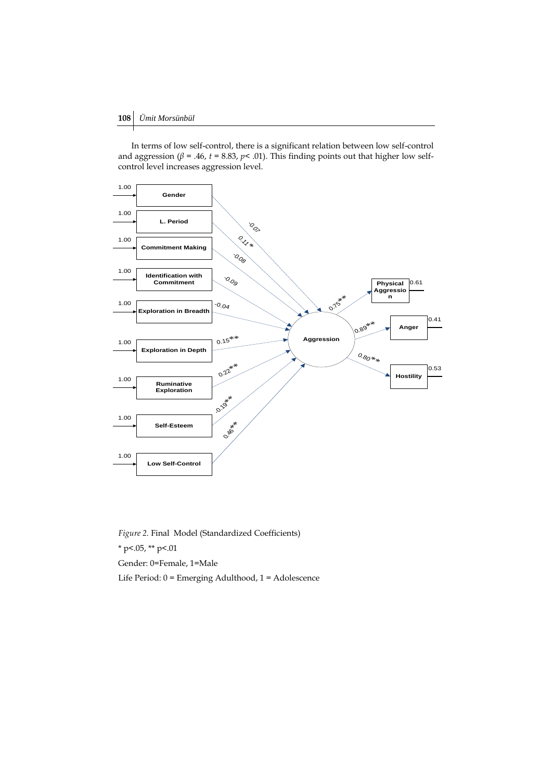In terms of low self-control, there is a significant relation between low self-control and aggression ( $\beta$  = .46,  $t$  = 8.83,  $p$  < .01). This finding points out that higher low selfcontrol level increases aggression level.



*Figure 2.* Final Model (Standardized Coefficients)

 $*$  p <.05,  $*$  p <.01

Gender: 0=Female, 1=Male

Life Period: 0 = Emerging Adulthood, 1 = Adolescence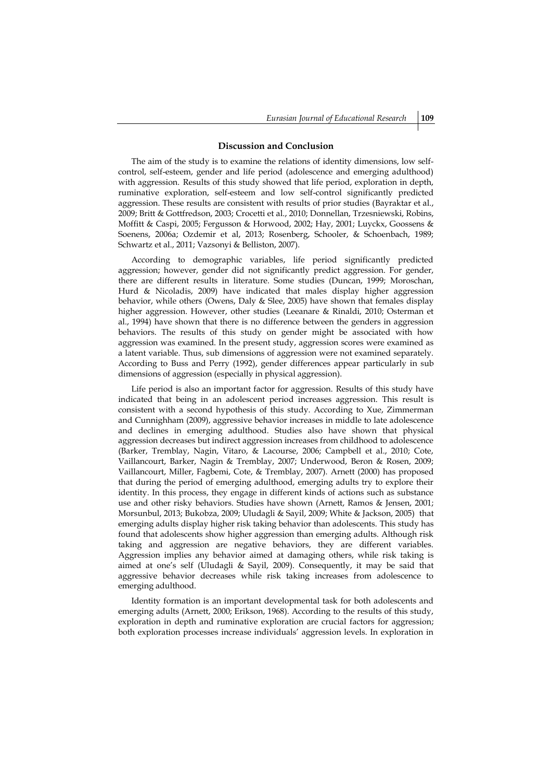### **Discussion and Conclusion**

The aim of the study is to examine the relations of identity dimensions, low selfcontrol, self-esteem, gender and life period (adolescence and emerging adulthood) with aggression. Results of this study showed that life period, exploration in depth, ruminative exploration, self-esteem and low self-control significantly predicted aggression. These results are consistent with results of prior studies (Bayraktar et al., 2009; Britt & Gottfredson, 2003; Crocetti et al., 2010; Donnellan, Trzesniewski, Robins, Moffitt & Caspi, 2005; Fergusson & Horwood, 2002; Hay, 2001; Luyckx, Goossens & Soenens, 2006a; Ozdemir et al, 2013; Rosenberg, Schooler, & Schoenbach, 1989; Schwartz et al., 2011; Vazsonyi & Belliston, 2007).

According to demographic variables, life period significantly predicted aggression; however, gender did not significantly predict aggression. For gender, there are different results in literature. Some studies (Duncan, 1999; Moroschan, Hurd & Nicoladis, 2009) have indicated that males display higher aggression behavior, while others (Owens, Daly & Slee, 2005) have shown that females display higher aggression. However, other studies (Leeanare & Rinaldi, 2010; Osterman et al., 1994) have shown that there is no difference between the genders in aggression behaviors. The results of this study on gender might be associated with how aggression was examined. In the present study, aggression scores were examined as a latent variable. Thus, sub dimensions of aggression were not examined separately. According to Buss and Perry (1992), gender differences appear particularly in sub dimensions of aggression (especially in physical aggression).

Life period is also an important factor for aggression. Results of this study have indicated that being in an adolescent period increases aggression. This result is consistent with a second hypothesis of this study. According to Xue, Zimmerman and Cunnighham (2009), aggressive behavior increases in middle to late adolescence and declines in emerging adulthood. Studies also have shown that physical aggression decreases but indirect aggression increases from childhood to adolescence (Barker, Tremblay, Nagin, Vitaro, & Lacourse, 2006; Campbell et al., 2010; Cote, Vaillancourt, Barker, Nagin & Tremblay, 2007; Underwood, Beron & Rosen, 2009; Vaillancourt, Miller, Fagbemi, Cote, & Tremblay, 2007). Arnett (2000) has proposed that during the period of emerging adulthood, emerging adults try to explore their identity. In this process, they engage in different kinds of actions such as substance use and other risky behaviors. Studies have shown (Arnett, Ramos & Jensen, 2001; Morsunbul, 2013; Bukobza, 2009; Uludagli & Sayil, 2009; White & Jackson, 2005) that emerging adults display higher risk taking behavior than adolescents. This study has found that adolescents show higher aggression than emerging adults. Although risk taking and aggression are negative behaviors, they are different variables. Aggression implies any behavior aimed at damaging others, while risk taking is aimed at one's self (Uludagli & Sayil, 2009). Consequently, it may be said that aggressive behavior decreases while risk taking increases from adolescence to emerging adulthood.

Identity formation is an important developmental task for both adolescents and emerging adults (Arnett, 2000; Erikson, 1968). According to the results of this study, exploration in depth and ruminative exploration are crucial factors for aggression; both exploration processes increase individuals' aggression levels. In exploration in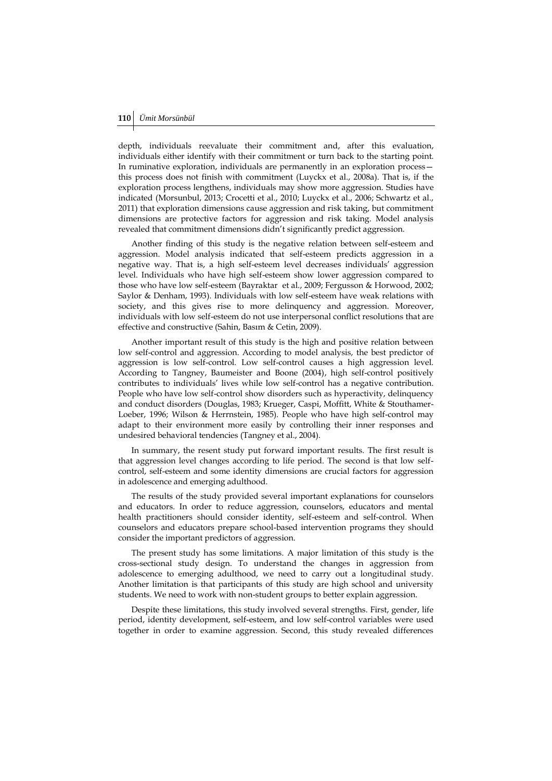depth, individuals reevaluate their commitment and, after this evaluation, individuals either identify with their commitment or turn back to the starting point. In ruminative exploration, individuals are permanently in an exploration process this process does not finish with commitment (Luyckx et al., 2008a). That is, if the exploration process lengthens, individuals may show more aggression. Studies have indicated (Morsunbul, 2013; Crocetti et al., 2010; Luyckx et al., 2006; Schwartz et al., 2011) that exploration dimensions cause aggression and risk taking, but commitment dimensions are protective factors for aggression and risk taking. Model analysis revealed that commitment dimensions didn't significantly predict aggression.

Another finding of this study is the negative relation between self-esteem and aggression. Model analysis indicated that self-esteem predicts aggression in a negative way. That is, a high self-esteem level decreases individuals' aggression level. Individuals who have high self-esteem show lower aggression compared to those who have low self-esteem (Bayraktar et al., 2009; Fergusson & Horwood, 2002; Saylor & Denham, 1993). Individuals with low self-esteem have weak relations with society, and this gives rise to more delinquency and aggression. Moreover, individuals with low self-esteem do not use interpersonal conflict resolutions that are effective and constructive (Sahin, Basım & Cetin, 2009).

Another important result of this study is the high and positive relation between low self-control and aggression. According to model analysis, the best predictor of aggression is low self-control. Low self-control causes a high aggression level. According to Tangney, Baumeister and Boone (2004), high self-control positively contributes to individuals' lives while low self-control has a negative contribution. People who have low self-control show disorders such as hyperactivity, delinquency and conduct disorders (Douglas, 1983; Krueger, Caspi, Moffitt, White & Stouthamer-Loeber, 1996; Wilson & Herrnstein, 1985). People who have high self-control may adapt to their environment more easily by controlling their inner responses and undesired behavioral tendencies (Tangney et al., 2004).

In summary, the resent study put forward important results. The first result is that aggression level changes according to life period. The second is that low selfcontrol, self-esteem and some identity dimensions are crucial factors for aggression in adolescence and emerging adulthood.

The results of the study provided several important explanations for counselors and educators. In order to reduce aggression, counselors, educators and mental health practitioners should consider identity, self-esteem and self-control. When counselors and educators prepare school-based intervention programs they should consider the important predictors of aggression.

The present study has some limitations. A major limitation of this study is the cross-sectional study design. To understand the changes in aggression from adolescence to emerging adulthood, we need to carry out a longitudinal study. Another limitation is that participants of this study are high school and university students. We need to work with non-student groups to better explain aggression.

Despite these limitations, this study involved several strengths. First, gender, life period, identity development, self-esteem, and low self-control variables were used together in order to examine aggression. Second, this study revealed differences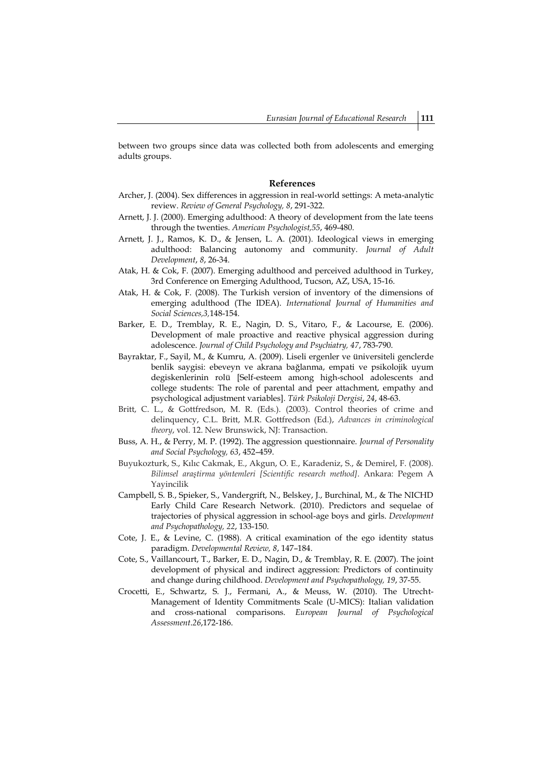between two groups since data was collected both from adolescents and emerging adults groups.

#### **References**

- Archer, J. (2004). Sex differences in aggression in real-world settings: A meta-analytic review. *Review of General Psychology, 8*, 291-322.
- Arnett, J. J. (2000). Emerging adulthood: A theory of development from the late teens through the twenties. *American Psychologist,55*, 469-480.
- Arnett, J. J., Ramos, K. D., & Jensen, L. A. (2001). Ideological views in emerging adulthood: Balancing autonomy and community. *Journal of Adult Development*, *8*, 26-34.
- Atak, H. & Cok, F. (2007). Emerging adulthood and perceived adulthood in Turkey, 3rd Conference on Emerging Adulthood, Tucson, AZ, USA, 15-16.
- Atak, H. & Cok, F. (2008). The Turkish version of inventory of the dimensions of emerging adulthood (The IDEA). *International Journal of Humanities and Social Sciences,3,*148-154.
- Barker, E. D., Tremblay, R. E., Nagin, D. S., Vitaro, F., & Lacourse, E. (2006). Development of male proactive and reactive physical aggression during adolescence. *Journal of Child Psychology and Psychiatry, 47*, 783-790.
- Bayraktar, F., Sayil, M., & Kumru, A. (2009). Liseli ergenler ve üniversiteli genclerde benlik saygisi: ebeveyn ve akrana bağlanma, empati ve psikolojik uyum degiskenlerinin rolü [Self-esteem among high-school adolescents and college students: The role of parental and peer attachment, empathy and psychological adjustment variables]. *Türk Psikoloji Dergisi*, *24*, 48-63.
- Britt, C. L., & Gottfredson, M. R. (Eds.). (2003). Control theories of crime and delinquency, C.L. Britt, M.R. Gottfredson (Ed.), *Advances in criminological theory*, vol. 12. New Brunswick, NJ: Transaction.
- Buss, A. H., & Perry, M. P. (1992). The aggression questionnaire. *Journal of Personality and Social Psychology, 63*, 452–459.
- Buyukozturk, S., Kılıc Cakmak, E., Akgun, O. E., Karadeniz, S., & Demirel, F. (2008). *Bilimsel araştirma yöntemleri [Scientific research method]*. Ankara: Pegem A Yayincilik
- Campbell, S. B., Spieker, S., Vandergrift, N., Belskey, J., Burchinal, M., & The NICHD Early Child Care Research Network. (2010). Predictors and sequelae of trajectories of physical aggression in school-age boys and girls. *Development and Psychopathology, 22*, 133-150.
- Cote, J. E., & Levine, C. (1988). A critical examination of the ego identity status paradigm. *Developmental Review, 8*, 147–184.
- Cote, S., Vaillancourt, T., Barker, E. D., Nagin, D., & Tremblay, R. E. (2007). The joint development of physical and indirect aggression: Predictors of continuity and change during childhood. *Development and Psychopathology, 19*, 37-55.
- Crocetti, E., Schwartz, S. J., Fermani, A., & Meuss, W. (2010). The Utrecht-Management of Identity Commitments Scale (U-MICS): Italian validation and cross-national comparisons. *European Journal of Psychological Assessment*.*26*,172-186.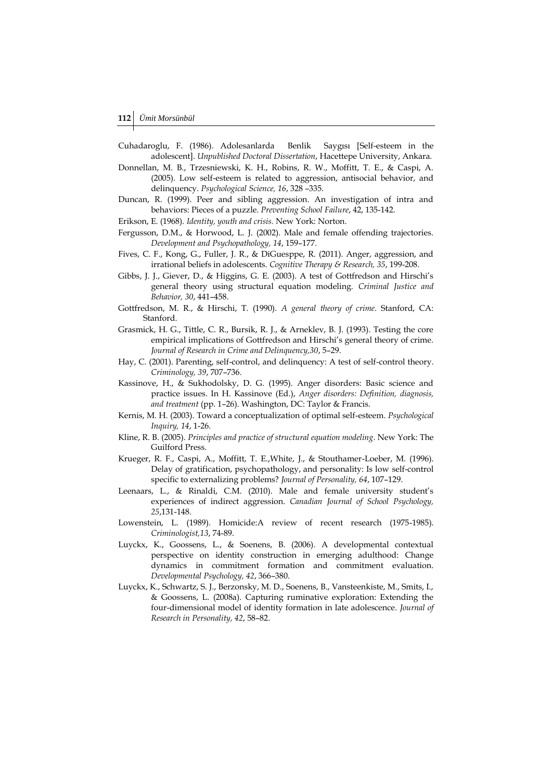- Cuhadaroglu, F. (1986). Adolesanlarda Benlik Saygısı [Self-esteem in the adolescent]. *Unpublished Doctoral Dissertation*, Hacettepe University, Ankara.
- Donnellan, M. B., Trzesniewski, K. H., Robins, R. W., Moffitt, T. E., & Caspi, A. (2005). Low self-esteem is related to aggression, antisocial behavior, and delinquency. *Psychological Science, 16*, 328 –335.
- Duncan, R. (1999). Peer and sibling aggression. An investigation of intra and behaviors: Pieces of a puzzle. *Preventing School Failure*, 42, 135-142.
- Erikson, E. (1968). *Identity, youth and crisis.* New York: Norton.
- Fergusson, D.M., & Horwood, L. J. (2002). Male and female offending trajectories. *Development and Psychopathology, 14*, 159–177.
- Fives, C. F., Kong, G., Fuller, J. R., & DiGuesppe, R. (2011). Anger, aggression, and irrational beliefs in adolescents. *Cognitive Therapy & Research, 35*, 199-208.
- Gibbs, J. J., Giever, D., & Higgins, G. E. (2003). A test of Gottfredson and Hirschi's general theory using structural equation modeling. *Criminal Justice and Behavior, 30*, 441–458.
- Gottfredson, M. R., & Hirschi, T. (1990). *A general theory of crime*. Stanford, CA: Stanford.
- Grasmick, H. G., Tittle, C. R., Bursik, R. J., & Arneklev, B. J. (1993). Testing the core empirical implications of Gottfredson and Hirschi's general theory of crime. *Journal of Research in Crime and Delinquency,30*, 5–29.
- Hay, C. (2001). Parenting, self-control, and delinquency: A test of self-control theory. *Criminology, 39*, 707–736.
- Kassinove, H., & Sukhodolsky, D. G. (1995). Anger disorders: Basic science and practice issues. In H. Kassinove (Ed.), *Anger disorders: Definition, diagnosis, and treatment* (pp. 1–26). Washington, DC: Taylor & Francis.
- Kernis, M. H. (2003). Toward a conceptualization of optimal self-esteem. *Psychological Inquiry, 14*, 1-26.
- Kline, R. B. (2005). *Principles and practice of structural equation modeling*. New York: The Guilford Press.
- Krueger, R. F., Caspi, A., Moffitt, T. E.,White, J., & Stouthamer-Loeber, M. (1996). Delay of gratification, psychopathology, and personality: Is low self-control specific to externalizing problems? *Journal of Personality, 64*, 107–129.
- Leenaars, L., & Rinaldi, C.M. (2010). Male and female university student's experiences of indirect aggression. *Canadian Journal of School Psychology, 25*,131-148.
- Lowenstein, L. (1989). Homicide:A review of recent research (1975-1985). *Criminologist,13*, 74-89.
- Luyckx, K., Goossens, L., & Soenens, B. (2006). A developmental contextual perspective on identity construction in emerging adulthood: Change dynamics in commitment formation and commitment evaluation. *Developmental Psychology, 42*, 366–380.
- Luyckx, K., Schwartz, S. J., Berzonsky, M. D., Soenens, B., Vansteenkiste, M., Smits, I., & Goossens, L. (2008a). Capturing ruminative exploration: Extending the four-dimensional model of identity formation in late adolescence. *Journal of Research in Personality, 42*, 58–82.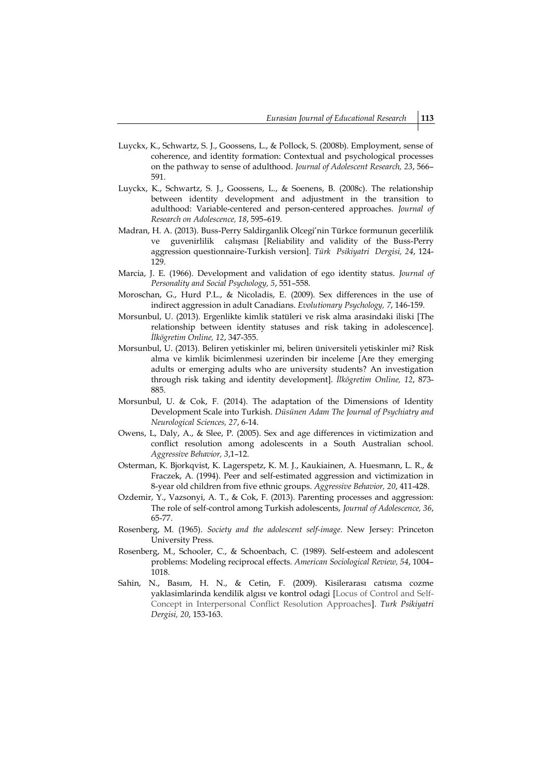- Luyckx, K., Schwartz, S. J., Goossens, L., & Pollock, S. (2008b). Employment, sense of coherence, and identity formation: Contextual and psychological processes on the pathway to sense of adulthood. *Journal of Adolescent Research, 23*, 566– 591.
- Luyckx, K., Schwartz, S. J., Goossens, L., & Soenens, B. (2008c). The relationship between identity development and adjustment in the transition to adulthood: Variable-centered and person-centered approaches. *Journal of Research on Adolescence, 18*, 595–619.
- Madran, H. A. (2013). Buss-Perry Saldirganlik Olcegi'nin Türkce formunun gecerlilik ve guvenirlilik calışması [Reliability and validity of the Buss-Perry aggression questionnaire-Turkish version]. *Türk Psikiyatri Dergisi, 24*, 124- 129.
- Marcia, J. E. (1966). Development and validation of ego identity status. *Journal of Personality and Social Psychology, 5*, 551–558.
- Moroschan, G., Hurd P.L., & Nicoladis, E. (2009). Sex differences in the use of indirect aggression in adult Canadians. *Evolutionary Psychology, 7*, 146-159.
- Morsunbul, U. (2013). Ergenlikte kimlik statüleri ve risk alma arasindaki iliski [The relationship between identity statuses and risk taking in adolescence]. *İlkögretim Online, 12*, 347-355.
- Morsunbul, U. (2013). Beliren yetiskinler mi, beliren üniversiteli yetiskinler mi? Risk alma ve kimlik bicimlenmesi uzerinden bir inceleme [Are they emerging adults or emerging adults who are university students? An investigation through risk taking and identity development]. *İlkögretim Online, 12*, 873- 885.
- Morsunbul, U. & Cok, F. (2014). The adaptation of the Dimensions of Identity Development Scale into Turkish. *Düsünen Adam The Journal of Psychiatry and Neurological Sciences, 27*, 6-14.
- Owens, L, Daly, A., & Slee, P. (2005). Sex and age differences in victimization and conflict resolution among adolescents in a South Australian school. *Aggressive Behavior, 3*,1–12.
- Osterman, K. Bjorkqvist, K. Lagerspetz, K. M. J., Kaukiainen, A. Huesmann, L. R., & Fraczek, A. (1994). Peer and self-estimated aggression and victimization in 8-year old children from five ethnic groups. *Aggressive Behavior, 20*, 411-428.
- Ozdemir, Y., Vazsonyi, A. T., & Cok, F. (2013). Parenting processes and aggression: The role of self-control among Turkish adolescents, *Journal of Adolescence, 36*, 65-77.
- Rosenberg, M. (1965). *Society and the adolescent self-image*. New Jersey: Princeton University Press.
- Rosenberg, M., Schooler, C., & Schoenbach, C. (1989). Self-esteem and adolescent problems: Modeling reciprocal effects. *American Sociological Review, 54*, 1004– 1018.
- Sahin, N., Basım, H. N., & Cetin, F. (2009). Kisilerarası catısma cozme yaklasimlarinda kendilik algısı ve kontrol odagi [Locus of Control and Self-Concept in Interpersonal Conflict Resolution Approaches]. *Turk Psikiyatri Dergisi, 20*, 153-163.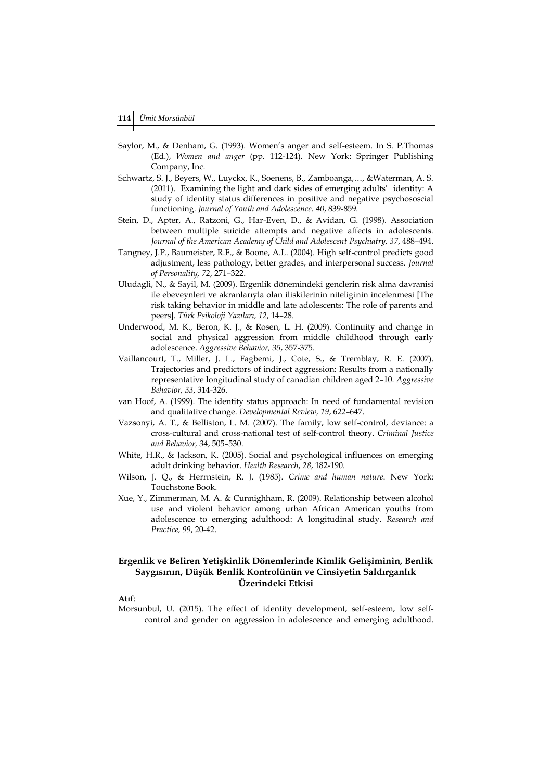- Saylor, M., & Denham, G. (1993). Women's anger and self-esteem. In S. P.Thomas (Ed.), *Women and anger* (pp. 112-124). New York: Springer Publishing Company, Inc.
- Schwartz, S. J., Beyers, W., Luyckx, K., Soenens, B., Zamboanga,…, &Waterman, A. S. (2011). Examining the light and dark sides of emerging adults' identity: A study of identity status differences in positive and negative psychososcial functioning. *Journal of Youth and Adolescence*. *40*, 839-859.
- Stein, D., Apter, A., Ratzoni, G., Har-Even, D., & Avidan, G. (1998). Association between multiple suicide attempts and negative affects in adolescents. *Journal of the American Academy of Child and Adolescent Psychiatry, 37*, 488–494.
- Tangney, J.P., Baumeister, R.F., & Boone, A.L. (2004). High self-control predicts good adjustment, less pathology, better grades, and interpersonal success. *Journal of Personality, 72*, 271–322.
- Uludagli, N., & Sayil, M. (2009). Ergenlik dönemindeki genclerin risk alma davranisi ile ebeveynleri ve akranlarıyla olan iliskilerinin niteliginin incelenmesi [The risk taking behavior in middle and late adolescents: The role of parents and peers]. *Türk Psikoloji Yazıları, 12*, 14–28.
- Underwood, M. K., Beron, K. J., & Rosen, L. H. (2009). Continuity and change in social and physical aggression from middle childhood through early adolescence. *Aggressive Behavior, 35*, 357-375.
- Vaillancourt, T., Miller, J. L., Fagbemi, J., Cote, S., & Tremblay, R. E. (2007). Trajectories and predictors of indirect aggression: Results from a nationally representative longitudinal study of canadian children aged 2–10. *Aggressive Behavior, 33*, 314-326.
- van Hoof, A. (1999). The identity status approach: In need of fundamental revision and qualitative change. *Developmental Review, 19*, 622–647.
- Vazsonyi, A. T., & Belliston, L. M. (2007). The family, low self-control, deviance: a cross-cultural and cross-national test of self-control theory. *Criminal Justice and Behavior, 34*, 505–530.
- White, H.R., & Jackson, K. (2005). Social and psychological influences on emerging adult drinking behavior. *Health Research*, *28*, 182-190.
- Wilson, J. Q., & Herrnstein, R. J. (1985). *Crime and human nature*. New York: Touchstone Book.
- Xue, Y., Zimmerman, M. A. & Cunnighham, R. (2009). Relationship between alcohol use and violent behavior among urban African American youths from adolescence to emerging adulthood: A longitudinal study. *Research and Practice, 99*, 20-42.

# **Ergenlik ve Beliren Yetişkinlik Dönemlerinde Kimlik Gelişiminin, Benlik Saygısının, Düşük Benlik Kontrolünün ve Cinsiyetin Saldırganlık Üzerindeki Etkisi**

#### **Atıf**:

Morsunbul, U. (2015). The effect of identity development, self-esteem, low selfcontrol and gender on aggression in adolescence and emerging adulthood.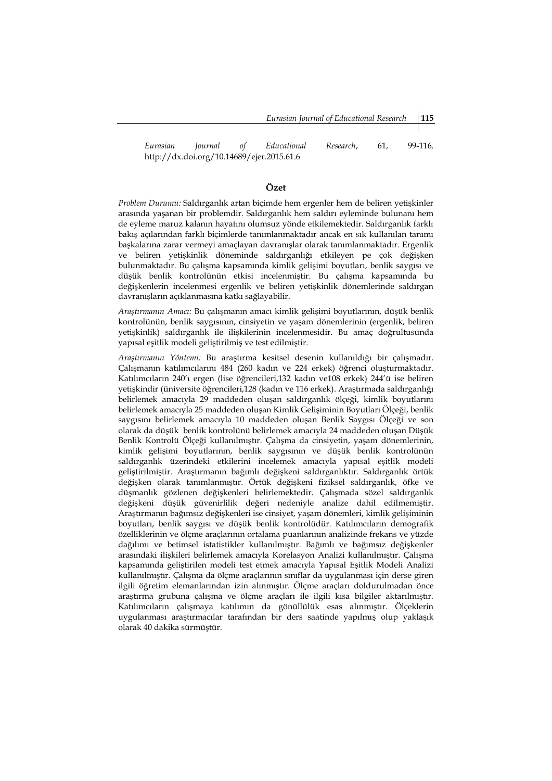*Eurasian Journal of Educational Research*, 61, 99-116. http://dx.doi.org/10.14689/ejer.2015.61.6

# **Özet**

*Problem Durumu:* Saldırganlık artan biçimde hem ergenler hem de beliren yetişkinler arasında yaşanan bir problemdir. Saldırganlık hem saldırı eyleminde bulunanı hem de eyleme maruz kalanın hayatını olumsuz yönde etkilemektedir. Saldırganlık farklı bakış açılarından farklı biçimlerde tanımlanmaktadır ancak en sık kullanılan tanımı başkalarına zarar vermeyi amaçlayan davranışlar olarak tanımlanmaktadır. Ergenlik ve beliren yetişkinlik döneminde saldırganlığı etkileyen pe çok değişken bulunmaktadır. Bu çalışma kapsamında kimlik gelişimi boyutları, benlik saygısı ve düşük benlik kontrolünün etkisi incelenmiştir. Bu çalışma kapsamında bu değişkenlerin incelenmesi ergenlik ve beliren yetişkinlik dönemlerinde saldırgan davranışların açıklanmasına katkı sağlayabilir.

*Araştırmanın Amacı:* Bu çalışmanın amacı kimlik gelişimi boyutlarının, düşük benlik kontrolünün, benlik saygısının, cinsiyetin ve yaşam dönemlerinin (ergenlik, beliren yetişkinlik) saldırganlık ile ilişkilerinin incelenmesidir. Bu amaç doğrultusunda yapısal eşitlik modeli geliştirilmiş ve test edilmiştir.

*Araştırmanın Yöntemi:* Bu araştırma kesitsel desenin kullanıldığı bir çalışmadır. Çalışmanın katılımcılarını 484 (260 kadın ve 224 erkek) öğrenci oluşturmaktadır. Katılımcıların 240'ı ergen (lise öğrencileri,132 kadın ve108 erkek) 244'ü ise beliren yetişkindir (üniversite öğrencileri,128 (kadın ve 116 erkek). Araştırmada saldırganlığı belirlemek amacıyla 29 maddeden oluşan saldırganlık ölçeği, kimlik boyutlarını belirlemek amacıyla 25 maddeden oluşan Kimlik Gelişiminin Boyutları Ölçeği, benlik saygısını belirlemek amacıyla 10 maddeden oluşan Benlik Saygısı Ölçeği ve son olarak da düşük benlik kontrolünü belirlemek amacıyla 24 maddeden oluşan Düşük Benlik Kontrolü Ölçeği kullanılmıştır. Çalışma da cinsiyetin, yaşam dönemlerinin, kimlik gelişimi boyutlarının, benlik saygısının ve düşük benlik kontrolünün saldırganlık üzerindeki etkilerini incelemek amacıyla yapısal eşitlik modeli geliştirilmiştir. Araştırmanın bağımlı değişkeni saldırganlıktır. Saldırganlık örtük değişken olarak tanımlanmıştır. Örtük değişkeni fiziksel saldırganlık, öfke ve düşmanlık gözlenen değişkenleri belirlemektedir. Çalışmada sözel saldırganlık değişkeni düşük güvenirlilik değeri nedeniyle analize dahil edilmemiştir. Araştırmanın bağımsız değişkenleri ise cinsiyet, yaşam dönemleri, kimlik gelişiminin boyutları, benlik saygısı ve düşük benlik kontrolüdür. Katılımcıların demografik özelliklerinin ve ölçme araçlarının ortalama puanlarının analizinde frekans ve yüzde dağılımı ve betimsel istatistikler kullanılmıştır. Bağımlı ve bağımsız değişkenler arasındaki ilişkileri belirlemek amacıyla Korelasyon Analizi kullanılmıştır. Çalışma kapsamında geliştirilen modeli test etmek amacıyla Yapısal Eşitlik Modeli Analizi kullanılmıştır. Çalışma da ölçme araçlarının sınıflar da uygulanması için derse giren ilgili öğretim elemanlarından izin alınmıştır. Ölçme araçları doldurulmadan önce araştırma grubuna çalışma ve ölçme araçları ile ilgili kısa bilgiler aktarılmıştır. Katılımcıların çalışmaya katılımın da gönüllülük esas alınmıştır. Ölçeklerin uygulanması araştırmacılar tarafından bir ders saatinde yapılmış olup yaklaşık olarak 40 dakika sürmüştür.